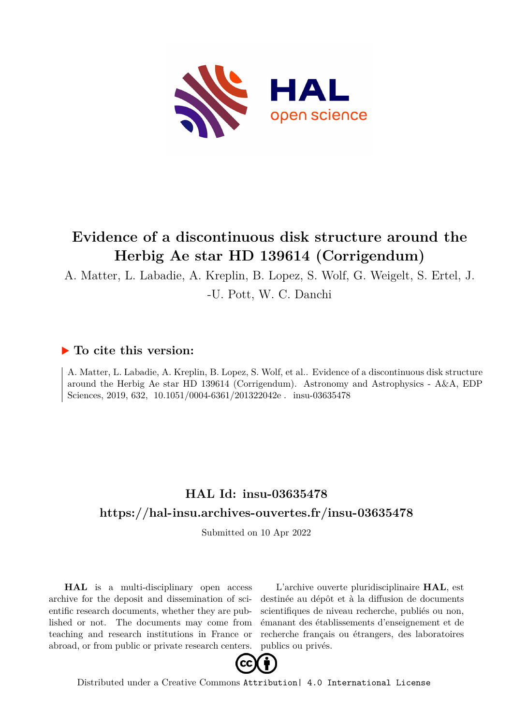

## **Evidence of a discontinuous disk structure around the Herbig Ae star HD 139614 (Corrigendum)**

A. Matter, L. Labadie, A. Kreplin, B. Lopez, S. Wolf, G. Weigelt, S. Ertel, J.

-U. Pott, W. C. Danchi

## **To cite this version:**

A. Matter, L. Labadie, A. Kreplin, B. Lopez, S. Wolf, et al.. Evidence of a discontinuous disk structure around the Herbig Ae star HD 139614 (Corrigendum). Astronomy and Astrophysics - A&A, EDP Sciences, 2019, 632, 10.1051/0004-6361/201322042e. insu-03635478

## **HAL Id: insu-03635478 <https://hal-insu.archives-ouvertes.fr/insu-03635478>**

Submitted on 10 Apr 2022

**HAL** is a multi-disciplinary open access archive for the deposit and dissemination of scientific research documents, whether they are published or not. The documents may come from teaching and research institutions in France or abroad, or from public or private research centers.

L'archive ouverte pluridisciplinaire **HAL**, est destinée au dépôt et à la diffusion de documents scientifiques de niveau recherche, publiés ou non, émanant des établissements d'enseignement et de recherche français ou étrangers, des laboratoires publics ou privés.



Distributed under a Creative Commons [Attribution| 4.0 International License](http://creativecommons.org/licenses/by/4.0/)